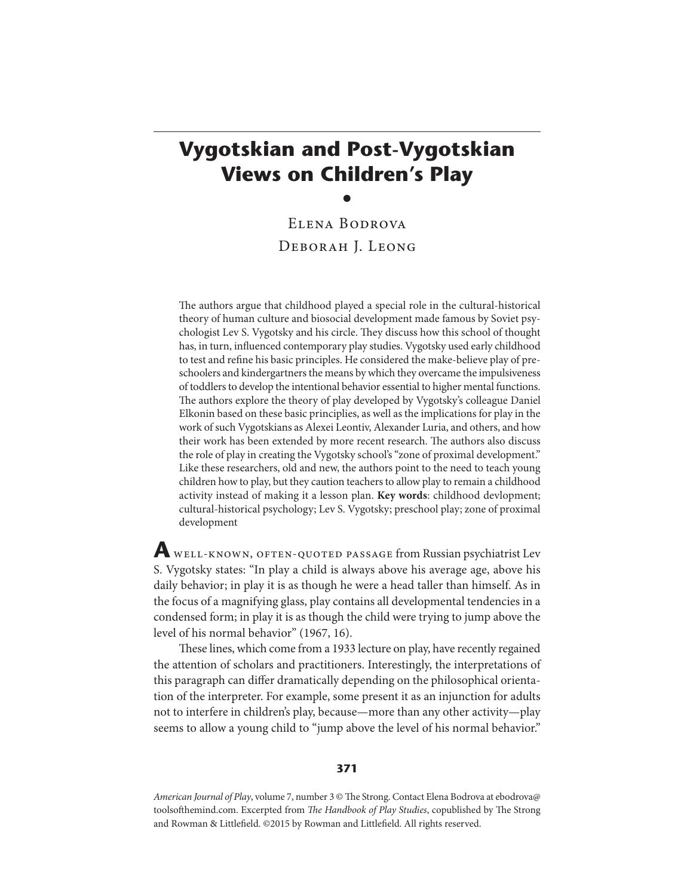# **Vygotskian and Post-Vygotskian Views on Children's Play** •

Elena Bodrova Deborah J. Leong

The authors argue that childhood played a special role in the cultural-historical theory of human culture and biosocial development made famous by Soviet psychologist Lev S. Vygotsky and his circle. They discuss how this school of thought has, in turn, influenced contemporary play studies. Vygotsky used early childhood to test and refine his basic principles. He considered the make-believe play of preschoolers and kindergartners the means by which they overcame the impulsiveness of toddlers to develop the intentional behavior essential to higher mental functions. The authors explore the theory of play developed by Vygotsky's colleague Daniel Elkonin based on these basic principlies, as well as the implications for play in the work of such Vygotskians as Alexei Leontiv, Alexander Luria, and others, and how their work has been extended by more recent research. The authors also discuss the role of play in creating the Vygotsky school's "zone of proximal development." Like these researchers, old and new, the authors point to the need to teach young children how to play, but they caution teachers to allow play to remain a childhood activity instead of making it a lesson plan. **Key words**: childhood devlopment; cultural-historical psychology; Lev S. Vygotsky; preschool play; zone of proximal development

**A** well-known, often-quoted passage from Russian psychiatrist Lev S. Vygotsky states: "In play a child is always above his average age, above his daily behavior; in play it is as though he were a head taller than himself. As in the focus of a magnifying glass, play contains all developmental tendencies in a condensed form; in play it is as though the child were trying to jump above the level of his normal behavior" (1967, 16).

These lines, which come from a 1933 lecture on play, have recently regained the attention of scholars and practitioners. Interestingly, the interpretations of this paragraph can differ dramatically depending on the philosophical orientation of the interpreter. For example, some present it as an injunction for adults not to interfere in children's play, because—more than any other activity—play seems to allow a young child to "jump above the level of his normal behavior."

### **371**

American Journal of Play, volume 7, number 3 © The Strong. Contact Elena Bodrova at ebodrova@ toolsofthemind.com. Excerpted from The Handbook of Play Studies, copublished by The Strong and Rowman & Littlefield. ©2015 by Rowman and Littlefield. All rights reserved.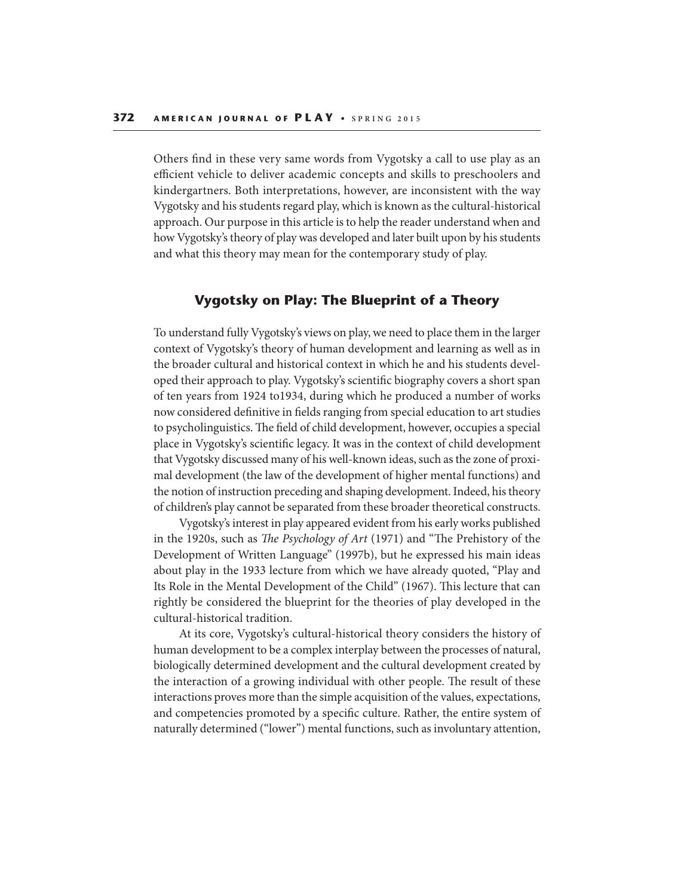Others find in these very same words from Vygotsky a call to use play as an efficient vehicle to deliver academic concepts and skills to preschoolers and kindergartners. Both interpretations, however, are inconsistent with the way Vygotsky and his students regard play, which is known as the cultural-historical approach. Our purpose in this article is to help the reader understand when and how Vygotsky's theory of play was developed and later built upon by his students and what this theory may mean for the contemporary study of play.

## **Vygotsky on Play: The Blueprint of a Theory**

To understand fully Vygotsky's views on play, we need to place them in the larger context of Vygotsky's theory of human development and learning as well as in the broader cultural and historical context in which he and his students developed their approach to play. Vygotsky's scientific biography covers a short span of ten years from 1924 to1934, during which he produced a number of works now considered definitive in fields ranging from special education to art studies to psycholinguistics. The field of child development, however, occupies a special place in Vygotsky's scientific legacy. It was in the context of child development that Vygotsky discussed many of his well-known ideas, such as the zone of proximal development (the law of the development of higher mental functions) and the notion of instruction preceding and shaping development. Indeed, his theory of children's play cannot be separated from these broader theoretical constructs.

Vygotsky's interest in play appeared evident from his early works published in the 1920s, such as *The Psychology of Art* (1971) and "The Prehistory of the Development of Written Language" (1997b), but he expressed his main ideas about play in the 1933 lecture from which we have already quoted, "Play and Its Role in the Mental Development of the Child" (1967). This lecture that can rightly be considered the blueprint for the theories of play developed in the cultural-historical tradition.

At its core, Vygotsky's cultural-historical theory considers the history of human development to be a complex interplay between the processes of natural, biologically determined development and the cultural development created by the interaction of a growing individual with other people. The result of these interactions proves more than the simple acquisition of the values, expectations, and competencies promoted by a specific culture. Rather, the entire system of naturally determined ("lower") mental functions, such as involuntary attention,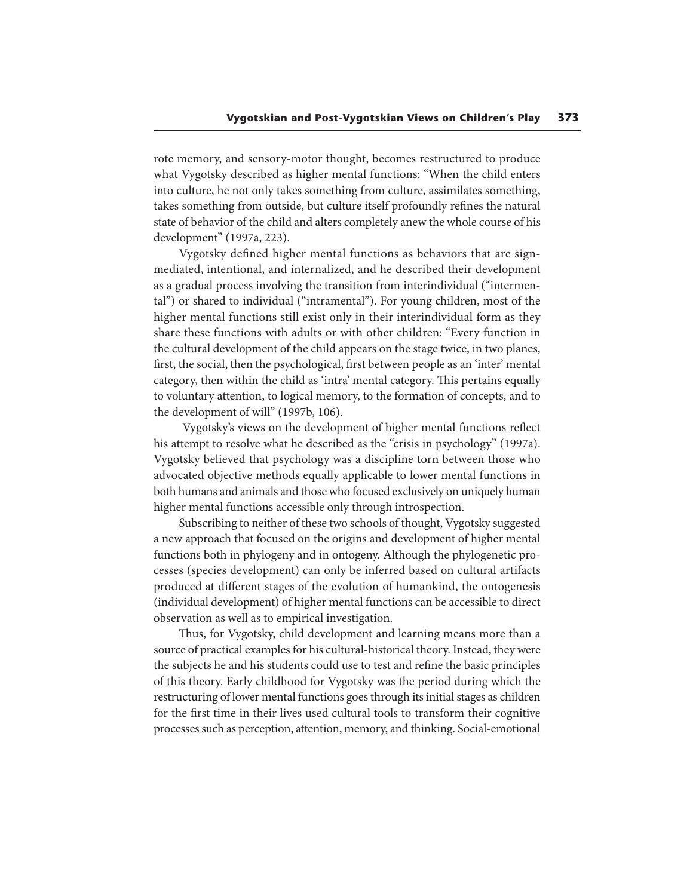rote memory, and sensory-motor thought, becomes restructured to produce what Vygotsky described as higher mental functions: "When the child enters into culture, he not only takes something from culture, assimilates something, takes something from outside, but culture itself profoundly refines the natural state of behavior of the child and alters completely anew the whole course of his development" (1997a, 223).

Vygotsky defined higher mental functions as behaviors that are signmediated, intentional, and internalized, and he described their development as a gradual process involving the transition from interindividual ("intermental") or shared to individual ("intramental"). For young children, most of the higher mental functions still exist only in their interindividual form as they share these functions with adults or with other children: "Every function in the cultural development of the child appears on the stage twice, in two planes, first, the social, then the psychological, first between people as an 'inter' mental category, then within the child as 'intra' mental category. This pertains equally to voluntary attention, to logical memory, to the formation of concepts, and to the development of will" (1997b, 106).

Vygotsky's views on the development of higher mental functions reflect his attempt to resolve what he described as the "crisis in psychology" (1997a). Vygotsky believed that psychology was a discipline torn between those who advocated objective methods equally applicable to lower mental functions in both humans and animals and those who focused exclusively on uniquely human higher mental functions accessible only through introspection.

Subscribing to neither of these two schools of thought, Vygotsky suggested a new approach that focused on the origins and development of higher mental functions both in phylogeny and in ontogeny. Although the phylogenetic processes (species development) can only be inferred based on cultural artifacts produced at different stages of the evolution of humankind, the ontogenesis (individual development) of higher mental functions can be accessible to direct observation as well as to empirical investigation.

Thus, for Vygotsky, child development and learning means more than a source of practical examples for his cultural-historical theory. Instead, they were the subjects he and his students could use to test and refine the basic principles of this theory. Early childhood for Vygotsky was the period during which the restructuring of lower mental functions goes through its initial stages as children for the first time in their lives used cultural tools to transform their cognitive processes such as perception, attention, memory, and thinking. Social-emotional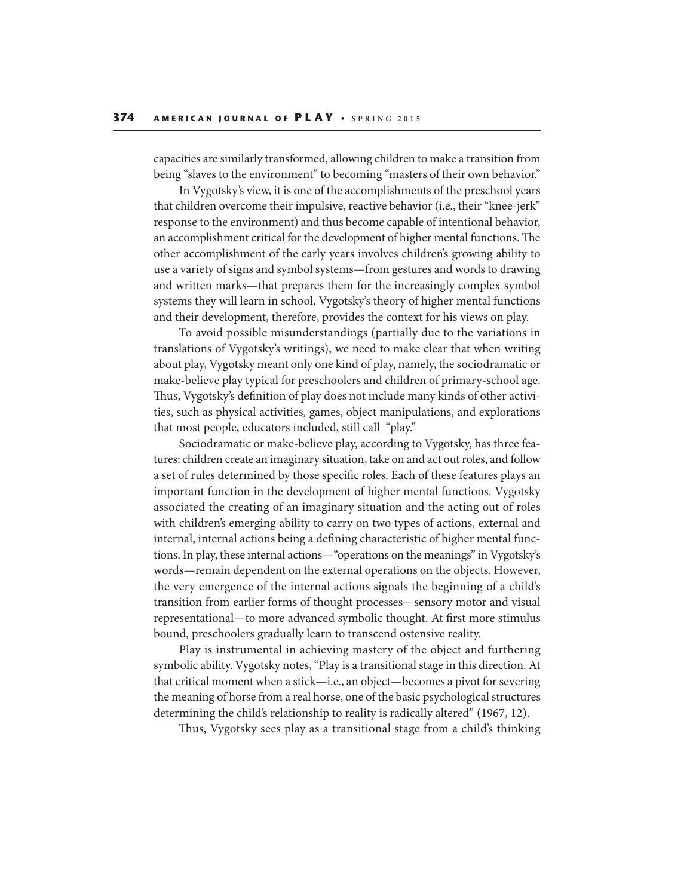capacities are similarly transformed, allowing children to make a transition from being "slaves to the environment" to becoming "masters of their own behavior."

In Vygotsky's view, it is one of the accomplishments of the preschool years that children overcome their impulsive, reactive behavior (i.e., their "knee-jerk" response to the environment) and thus become capable of intentional behavior, an accomplishment critical for the development of higher mental functions. The other accomplishment of the early years involves children's growing ability to use a variety of signs and symbol systems—from gestures and words to drawing and written marks—that prepares them for the increasingly complex symbol systems they will learn in school. Vygotsky's theory of higher mental functions and their development, therefore, provides the context for his views on play.

To avoid possible misunderstandings (partially due to the variations in translations of Vygotsky's writings), we need to make clear that when writing about play, Vygotsky meant only one kind of play, namely, the sociodramatic or make-believe play typical for preschoolers and children of primary-school age. Thus, Vygotsky's definition of play does not include many kinds of other activities, such as physical activities, games, object manipulations, and explorations that most people, educators included, still call "play."

Sociodramatic or make-believe play, according to Vygotsky, has three features: children create an imaginary situation, take on and act out roles, and follow a set of rules determined by those specific roles. Each of these features plays an important function in the development of higher mental functions. Vygotsky associated the creating of an imaginary situation and the acting out of roles with children's emerging ability to carry on two types of actions, external and internal, internal actions being a defining characteristic of higher mental functions. In play, these internal actions—"operations on the meanings" in Vygotsky's words—remain dependent on the external operations on the objects. However, the very emergence of the internal actions signals the beginning of a child's transition from earlier forms of thought processes—sensory motor and visual representational—to more advanced symbolic thought. At first more stimulus bound, preschoolers gradually learn to transcend ostensive reality.

Play is instrumental in achieving mastery of the object and furthering symbolic ability. Vygotsky notes, "Play is a transitional stage in this direction. At that critical moment when a stick—i.e., an object—becomes a pivot for severing the meaning of horse from a real horse, one of the basic psychological structures determining the child's relationship to reality is radically altered" (1967, 12).

Thus, Vygotsky sees play as a transitional stage from a child's thinking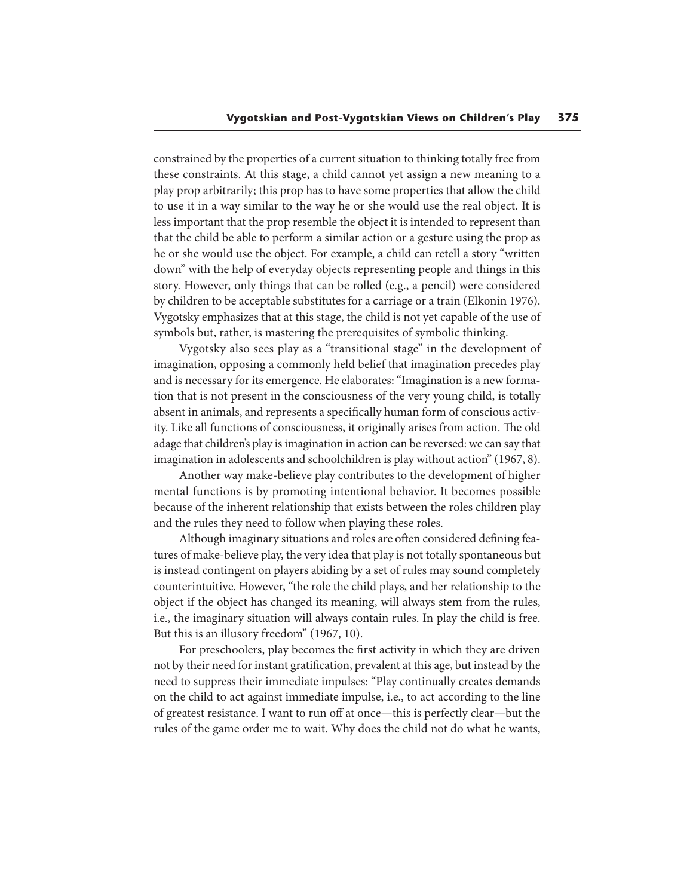constrained by the properties of a current situation to thinking totally free from these constraints. At this stage, a child cannot yet assign a new meaning to a play prop arbitrarily; this prop has to have some properties that allow the child to use it in a way similar to the way he or she would use the real object. It is less important that the prop resemble the object it is intended to represent than that the child be able to perform a similar action or a gesture using the prop as he or she would use the object. For example, a child can retell a story "written down" with the help of everyday objects representing people and things in this story. However, only things that can be rolled (e.g., a pencil) were considered by children to be acceptable substitutes for a carriage or a train (Elkonin 1976). Vygotsky emphasizes that at this stage, the child is not yet capable of the use of symbols but, rather, is mastering the prerequisites of symbolic thinking.

Vygotsky also sees play as a "transitional stage" in the development of imagination, opposing a commonly held belief that imagination precedes play and is necessary for its emergence. He elaborates: "Imagination is a new formation that is not present in the consciousness of the very young child, is totally absent in animals, and represents a specifically human form of conscious activity. Like all functions of consciousness, it originally arises from action. The old adage that children's play is imagination in action can be reversed: we can say that imagination in adolescents and schoolchildren is play without action" (1967, 8).

Another way make-believe play contributes to the development of higher mental functions is by promoting intentional behavior. It becomes possible because of the inherent relationship that exists between the roles children play and the rules they need to follow when playing these roles.

Although imaginary situations and roles are often considered defining features of make-believe play, the very idea that play is not totally spontaneous but is instead contingent on players abiding by a set of rules may sound completely counterintuitive. However, "the role the child plays, and her relationship to the object if the object has changed its meaning, will always stem from the rules, i.e., the imaginary situation will always contain rules. In play the child is free. But this is an illusory freedom" (1967, 10).

For preschoolers, play becomes the first activity in which they are driven not by their need for instant gratification, prevalent at this age, but instead by the need to suppress their immediate impulses: "Play continually creates demands on the child to act against immediate impulse, i.e., to act according to the line of greatest resistance. I want to run off at once—this is perfectly clear—but the rules of the game order me to wait. Why does the child not do what he wants,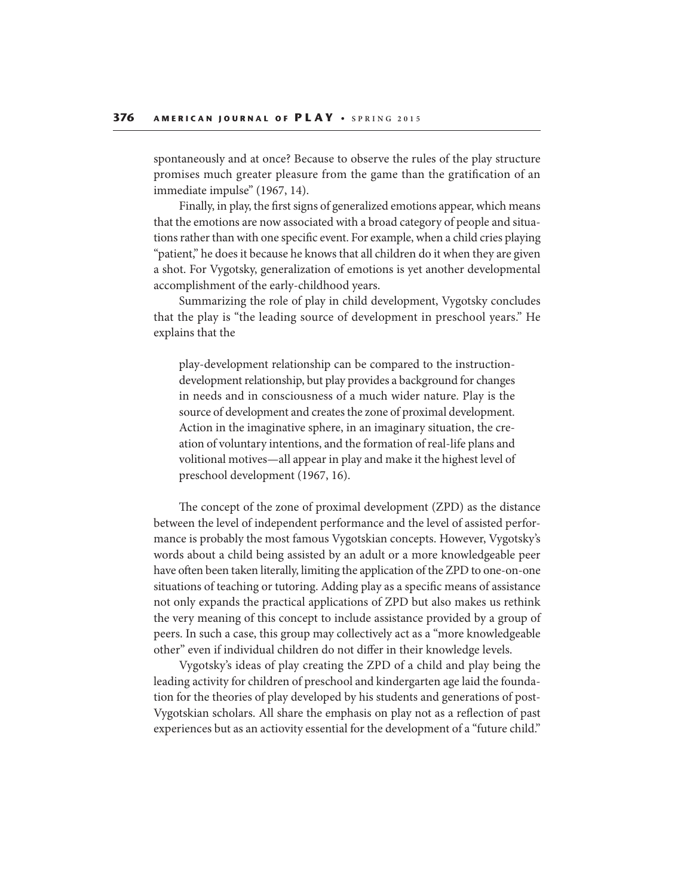spontaneously and at once? Because to observe the rules of the play structure promises much greater pleasure from the game than the gratification of an immediate impulse" (1967, 14).

Finally, in play, the first signs of generalized emotions appear, which means that the emotions are now associated with a broad category of people and situations rather than with one specific event. For example, when a child cries playing "patient," he does it because he knows that all children do it when they are given a shot. For Vygotsky, generalization of emotions is yet another developmental accomplishment of the early-childhood years.

Summarizing the role of play in child development, Vygotsky concludes that the play is "the leading source of development in preschool years." He explains that the

play-development relationship can be compared to the instructiondevelopment relationship, but play provides a background for changes in needs and in consciousness of a much wider nature. Play is the source of development and creates the zone of proximal development. Action in the imaginative sphere, in an imaginary situation, the creation of voluntary intentions, and the formation of real-life plans and volitional motives—all appear in play and make it the highest level of preschool development (1967, 16).

The concept of the zone of proximal development (ZPD) as the distance between the level of independent performance and the level of assisted performance is probably the most famous Vygotskian concepts. However, Vygotsky's words about a child being assisted by an adult or a more knowledgeable peer have often been taken literally, limiting the application of the ZPD to one-on-one situations of teaching or tutoring. Adding play as a specific means of assistance not only expands the practical applications of ZPD but also makes us rethink the very meaning of this concept to include assistance provided by a group of peers. In such a case, this group may collectively act as a "more knowledgeable other" even if individual children do not differ in their knowledge levels.

Vygotsky's ideas of play creating the ZPD of a child and play being the leading activity for children of preschool and kindergarten age laid the foundation for the theories of play developed by his students and generations of post-Vygotskian scholars. All share the emphasis on play not as a reflection of past experiences but as an actiovity essential for the development of a "future child."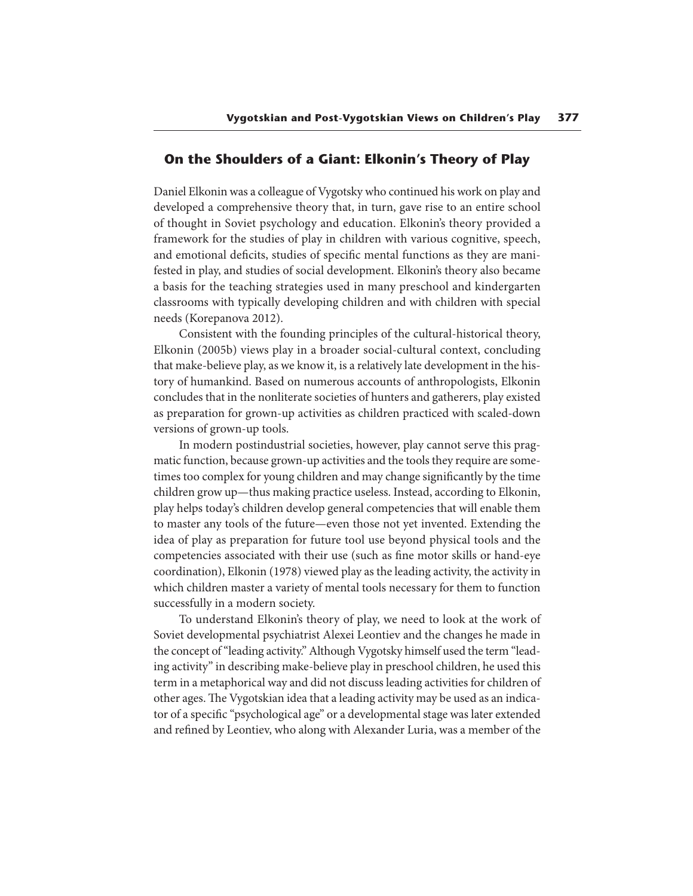## **On the Shoulders of a Giant: Elkonin's Theory of Play**

Daniel Elkonin was a colleague of Vygotsky who continued his work on play and developed a comprehensive theory that, in turn, gave rise to an entire school of thought in Soviet psychology and education. Elkonin's theory provided a framework for the studies of play in children with various cognitive, speech, and emotional deficits, studies of specific mental functions as they are manifested in play, and studies of social development. Elkonin's theory also became a basis for the teaching strategies used in many preschool and kindergarten classrooms with typically developing children and with children with special needs (Korepanova 2012).

Consistent with the founding principles of the cultural-historical theory, Elkonin (2005b) views play in a broader social-cultural context, concluding that make-believe play, as we know it, is a relatively late development in the history of humankind. Based on numerous accounts of anthropologists, Elkonin concludes that in the nonliterate societies of hunters and gatherers, play existed as preparation for grown-up activities as children practiced with scaled-down versions of grown-up tools.

In modern postindustrial societies, however, play cannot serve this pragmatic function, because grown-up activities and the tools they require are sometimes too complex for young children and may change significantly by the time children grow up—thus making practice useless. Instead, according to Elkonin, play helps today's children develop general competencies that will enable them to master any tools of the future—even those not yet invented. Extending the idea of play as preparation for future tool use beyond physical tools and the competencies associated with their use (such as fine motor skills or hand-eye coordination), Elkonin (1978) viewed play as the leading activity, the activity in which children master a variety of mental tools necessary for them to function successfully in a modern society.

To understand Elkonin's theory of play, we need to look at the work of Soviet developmental psychiatrist Alexei Leontiev and the changes he made in the concept of "leading activity." Although Vygotsky himself used the term "leading activity" in describing make-believe play in preschool children, he used this term in a metaphorical way and did not discuss leading activities for children of other ages. The Vygotskian idea that a leading activity may be used as an indicator of a specific "psychological age" or a developmental stage was later extended and refined by Leontiev, who along with Alexander Luria, was a member of the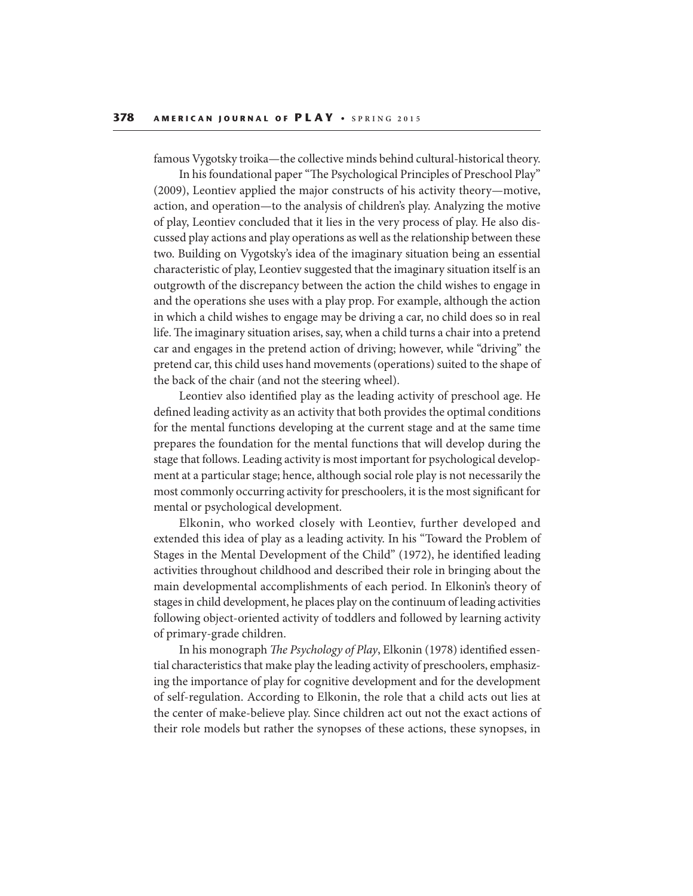famous Vygotsky troika—the collective minds behind cultural-historical theory.

In his foundational paper "The Psychological Principles of Preschool Play" (2009), Leontiev applied the major constructs of his activity theory—motive, action, and operation—to the analysis of children's play. Analyzing the motive of play, Leontiev concluded that it lies in the very process of play. He also discussed play actions and play operations as well as the relationship between these two. Building on Vygotsky's idea of the imaginary situation being an essential characteristic of play, Leontiev suggested that the imaginary situation itself is an outgrowth of the discrepancy between the action the child wishes to engage in and the operations she uses with a play prop. For example, although the action in which a child wishes to engage may be driving a car, no child does so in real life. The imaginary situation arises, say, when a child turns a chair into a pretend car and engages in the pretend action of driving; however, while "driving" the pretend car, this child uses hand movements (operations) suited to the shape of the back of the chair (and not the steering wheel).

Leontiev also identified play as the leading activity of preschool age. He defined leading activity as an activity that both provides the optimal conditions for the mental functions developing at the current stage and at the same time prepares the foundation for the mental functions that will develop during the stage that follows. Leading activity is most important for psychological development at a particular stage; hence, although social role play is not necessarily the most commonly occurring activity for preschoolers, it is the most significant for mental or psychological development.

Elkonin, who worked closely with Leontiev, further developed and extended this idea of play as a leading activity. In his "Toward the Problem of Stages in the Mental Development of the Child" (1972), he identified leading activities throughout childhood and described their role in bringing about the main developmental accomplishments of each period. In Elkonin's theory of stages in child development, he places play on the continuum of leading activities following object-oriented activity of toddlers and followed by learning activity of primary-grade children.

In his monograph The Psychology of Play, Elkonin (1978) identified essential characteristics that make play the leading activity of preschoolers, emphasizing the importance of play for cognitive development and for the development of self-regulation. According to Elkonin, the role that a child acts out lies at the center of make-believe play. Since children act out not the exact actions of their role models but rather the synopses of these actions, these synopses, in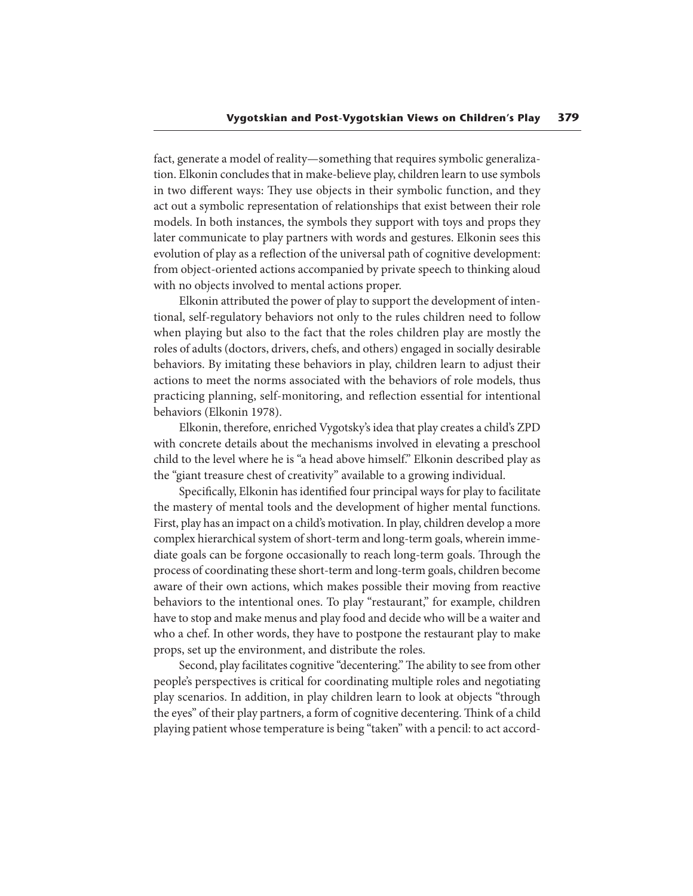fact, generate a model of reality—something that requires symbolic generalization. Elkonin concludes that in make-believe play, children learn to use symbols in two different ways: They use objects in their symbolic function, and they act out a symbolic representation of relationships that exist between their role models. In both instances, the symbols they support with toys and props they later communicate to play partners with words and gestures. Elkonin sees this evolution of play as a reflection of the universal path of cognitive development: from object-oriented actions accompanied by private speech to thinking aloud with no objects involved to mental actions proper.

Elkonin attributed the power of play to support the development of intentional, self-regulatory behaviors not only to the rules children need to follow when playing but also to the fact that the roles children play are mostly the roles of adults (doctors, drivers, chefs, and others) engaged in socially desirable behaviors. By imitating these behaviors in play, children learn to adjust their actions to meet the norms associated with the behaviors of role models, thus practicing planning, self-monitoring, and reflection essential for intentional behaviors (Elkonin 1978).

Elkonin, therefore, enriched Vygotsky's idea that play creates a child's ZPD with concrete details about the mechanisms involved in elevating a preschool child to the level where he is "a head above himself." Elkonin described play as the "giant treasure chest of creativity" available to a growing individual.

Specifically, Elkonin has identified four principal ways for play to facilitate the mastery of mental tools and the development of higher mental functions. First, play has an impact on a child's motivation. In play, children develop a more complex hierarchical system of short-term and long-term goals, wherein immediate goals can be forgone occasionally to reach long-term goals. Through the process of coordinating these short-term and long-term goals, children become aware of their own actions, which makes possible their moving from reactive behaviors to the intentional ones. To play "restaurant," for example, children have to stop and make menus and play food and decide who will be a waiter and who a chef. In other words, they have to postpone the restaurant play to make props, set up the environment, and distribute the roles.

Second, play facilitates cognitive "decentering." The ability to see from other people's perspectives is critical for coordinating multiple roles and negotiating play scenarios. In addition, in play children learn to look at objects "through the eyes" of their play partners, a form of cognitive decentering. Think of a child playing patient whose temperature is being "taken" with a pencil: to act accord-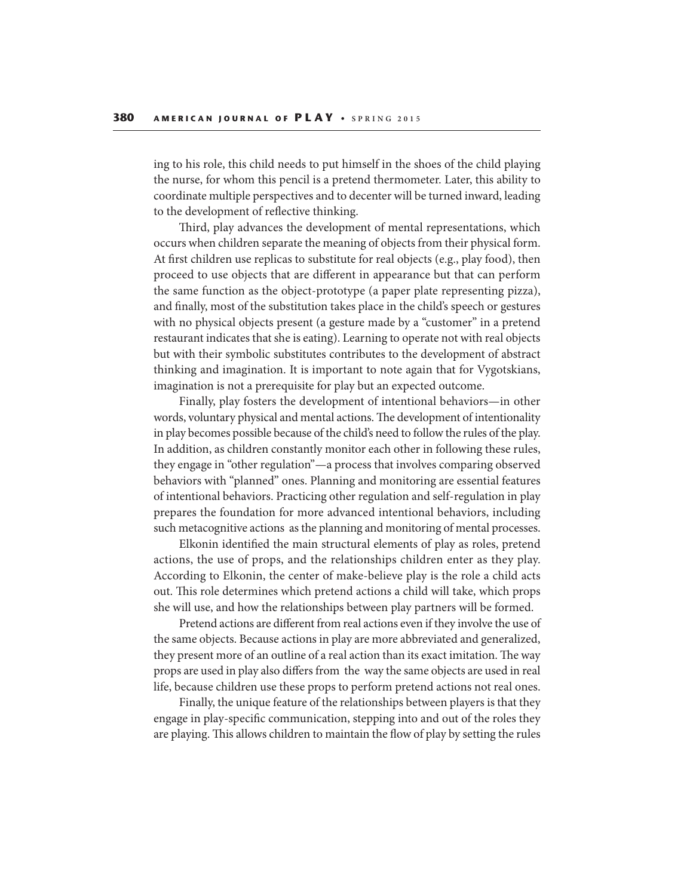ing to his role, this child needs to put himself in the shoes of the child playing the nurse, for whom this pencil is a pretend thermometer. Later, this ability to coordinate multiple perspectives and to decenter will be turned inward, leading to the development of reflective thinking.

Third, play advances the development of mental representations, which occurs when children separate the meaning of objects from their physical form. At first children use replicas to substitute for real objects (e.g., play food), then proceed to use objects that are different in appearance but that can perform the same function as the object-prototype (a paper plate representing pizza), and finally, most of the substitution takes place in the child's speech or gestures with no physical objects present (a gesture made by a "customer" in a pretend restaurant indicates that she is eating). Learning to operate not with real objects but with their symbolic substitutes contributes to the development of abstract thinking and imagination. It is important to note again that for Vygotskians, imagination is not a prerequisite for play but an expected outcome.

Finally, play fosters the development of intentional behaviors—in other words, voluntary physical and mental actions. The development of intentionality in play becomes possible because of the child's need to follow the rules of the play. In addition, as children constantly monitor each other in following these rules, they engage in "other regulation"—a process that involves comparing observed behaviors with "planned" ones. Planning and monitoring are essential features of intentional behaviors. Practicing other regulation and self-regulation in play prepares the foundation for more advanced intentional behaviors, including such metacognitive actions as the planning and monitoring of mental processes.

Elkonin identified the main structural elements of play as roles, pretend actions, the use of props, and the relationships children enter as they play. According to Elkonin, the center of make-believe play is the role a child acts out. This role determines which pretend actions a child will take, which props she will use, and how the relationships between play partners will be formed.

Pretend actions are different from real actions even if they involve the use of the same objects. Because actions in play are more abbreviated and generalized, they present more of an outline of a real action than its exact imitation. The way props are used in play also differs from the way the same objects are used in real life, because children use these props to perform pretend actions not real ones.

Finally, the unique feature of the relationships between players is that they engage in play-specific communication, stepping into and out of the roles they are playing. This allows children to maintain the flow of play by setting the rules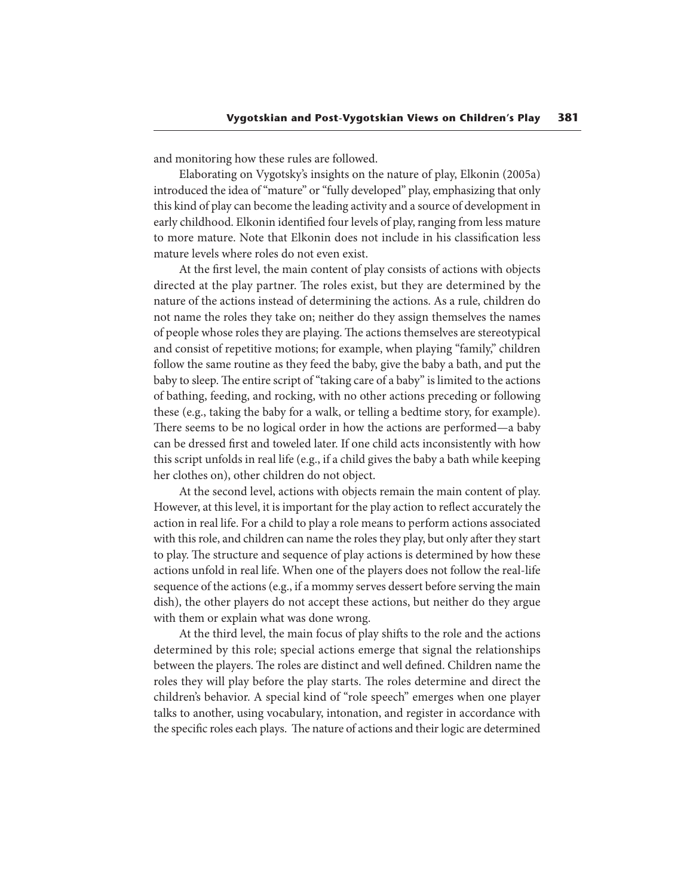and monitoring how these rules are followed.

Elaborating on Vygotsky's insights on the nature of play, Elkonin (2005a) introduced the idea of "mature" or "fully developed" play, emphasizing that only this kind of play can become the leading activity and a source of development in early childhood. Elkonin identified four levels of play, ranging from less mature to more mature. Note that Elkonin does not include in his classification less mature levels where roles do not even exist.

At the first level, the main content of play consists of actions with objects directed at the play partner. The roles exist, but they are determined by the nature of the actions instead of determining the actions. As a rule, children do not name the roles they take on; neither do they assign themselves the names of people whose roles they are playing. The actions themselves are stereotypical and consist of repetitive motions; for example, when playing "family," children follow the same routine as they feed the baby, give the baby a bath, and put the baby to sleep. The entire script of "taking care of a baby" is limited to the actions of bathing, feeding, and rocking, with no other actions preceding or following these (e.g., taking the baby for a walk, or telling a bedtime story, for example). There seems to be no logical order in how the actions are performed—a baby can be dressed first and toweled later. If one child acts inconsistently with how this script unfolds in real life (e.g., if a child gives the baby a bath while keeping her clothes on), other children do not object.

At the second level, actions with objects remain the main content of play. However, at this level, it is important for the play action to reflect accurately the action in real life. For a child to play a role means to perform actions associated with this role, and children can name the roles they play, but only after they start to play. The structure and sequence of play actions is determined by how these actions unfold in real life. When one of the players does not follow the real-life sequence of the actions (e.g., if a mommy serves dessert before serving the main dish), the other players do not accept these actions, but neither do they argue with them or explain what was done wrong.

At the third level, the main focus of play shifts to the role and the actions determined by this role; special actions emerge that signal the relationships between the players. The roles are distinct and well defined. Children name the roles they will play before the play starts. The roles determine and direct the children's behavior. A special kind of "role speech" emerges when one player talks to another, using vocabulary, intonation, and register in accordance with the specific roles each plays. The nature of actions and their logic are determined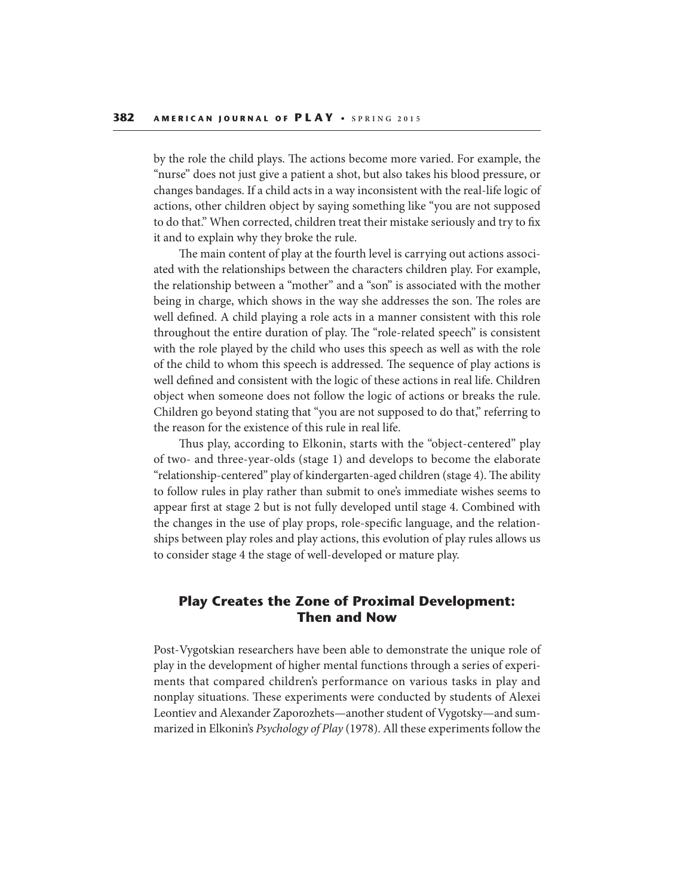by the role the child plays. The actions become more varied. For example, the "nurse" does not just give a patient a shot, but also takes his blood pressure, or changes bandages. If a child acts in a way inconsistent with the real-life logic of actions, other children object by saying something like "you are not supposed to do that." When corrected, children treat their mistake seriously and try to fix it and to explain why they broke the rule.

The main content of play at the fourth level is carrying out actions associated with the relationships between the characters children play. For example, the relationship between a "mother" and a "son" is associated with the mother being in charge, which shows in the way she addresses the son. The roles are well defined. A child playing a role acts in a manner consistent with this role throughout the entire duration of play. The "role-related speech" is consistent with the role played by the child who uses this speech as well as with the role of the child to whom this speech is addressed. The sequence of play actions is well defined and consistent with the logic of these actions in real life. Children object when someone does not follow the logic of actions or breaks the rule. Children go beyond stating that "you are not supposed to do that," referring to the reason for the existence of this rule in real life.

Thus play, according to Elkonin, starts with the "object-centered" play of two- and three-year-olds (stage 1) and develops to become the elaborate "relationship-centered" play of kindergarten-aged children (stage 4). The ability to follow rules in play rather than submit to one's immediate wishes seems to appear first at stage 2 but is not fully developed until stage 4. Combined with the changes in the use of play props, role-specific language, and the relationships between play roles and play actions, this evolution of play rules allows us to consider stage 4 the stage of well-developed or mature play.

# **Play Creates the Zone of Proximal Development: Then and Now**

Post-Vygotskian researchers have been able to demonstrate the unique role of play in the development of higher mental functions through a series of experiments that compared children's performance on various tasks in play and nonplay situations. These experiments were conducted by students of Alexei Leontiev and Alexander Zaporozhets—another student of Vygotsky—and summarized in Elkonin's *Psychology of Play* (1978). All these experiments follow the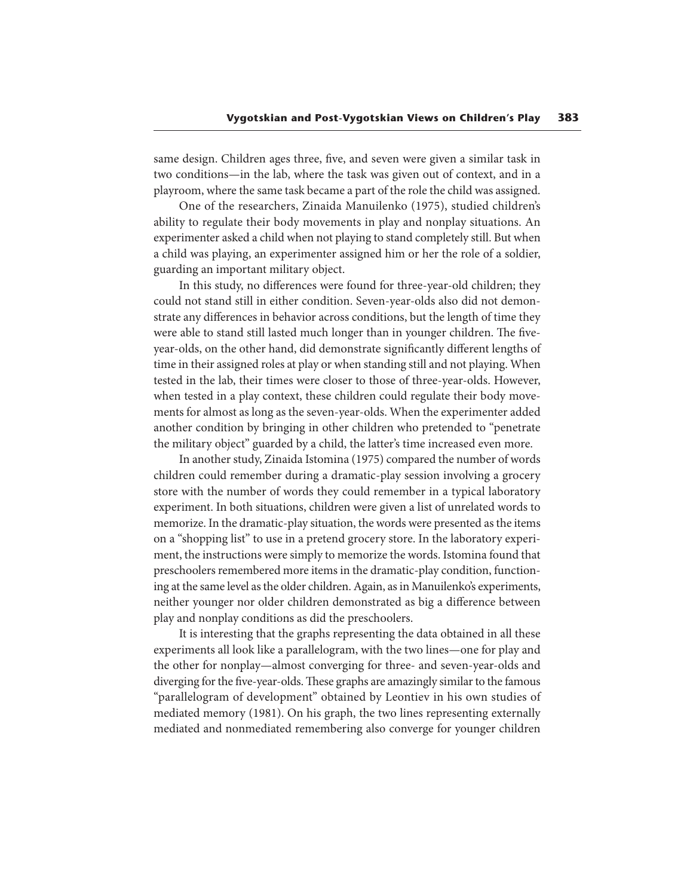same design. Children ages three, five, and seven were given a similar task in two conditions—in the lab, where the task was given out of context, and in a playroom, where the same task became a part of the role the child was assigned.

One of the researchers, Zinaida Manuilenko (1975), studied children's ability to regulate their body movements in play and nonplay situations. An experimenter asked a child when not playing to stand completely still. But when a child was playing, an experimenter assigned him or her the role of a soldier, guarding an important military object.

In this study, no differences were found for three-year-old children; they could not stand still in either condition. Seven-year-olds also did not demonstrate any differences in behavior across conditions, but the length of time they were able to stand still lasted much longer than in younger children. The fiveyear-olds, on the other hand, did demonstrate significantly different lengths of time in their assigned roles at play or when standing still and not playing. When tested in the lab, their times were closer to those of three-year-olds. However, when tested in a play context, these children could regulate their body movements for almost as long as the seven-year-olds. When the experimenter added another condition by bringing in other children who pretended to "penetrate the military object" guarded by a child, the latter's time increased even more.

In another study, Zinaida Istomina (1975) compared the number of words children could remember during a dramatic-play session involving a grocery store with the number of words they could remember in a typical laboratory experiment. In both situations, children were given a list of unrelated words to memorize. In the dramatic-play situation, the words were presented as the items on a "shopping list" to use in a pretend grocery store. In the laboratory experiment, the instructions were simply to memorize the words. Istomina found that preschoolers remembered more items in the dramatic-play condition, functioning at the same level as the older children. Again, as in Manuilenko's experiments, neither younger nor older children demonstrated as big a difference between play and nonplay conditions as did the preschoolers.

It is interesting that the graphs representing the data obtained in all these experiments all look like a parallelogram, with the two lines—one for play and the other for nonplay—almost converging for three- and seven-year-olds and diverging for the five-year-olds. These graphs are amazingly similar to the famous "parallelogram of development" obtained by Leontiev in his own studies of mediated memory (1981). On his graph, the two lines representing externally mediated and nonmediated remembering also converge for younger children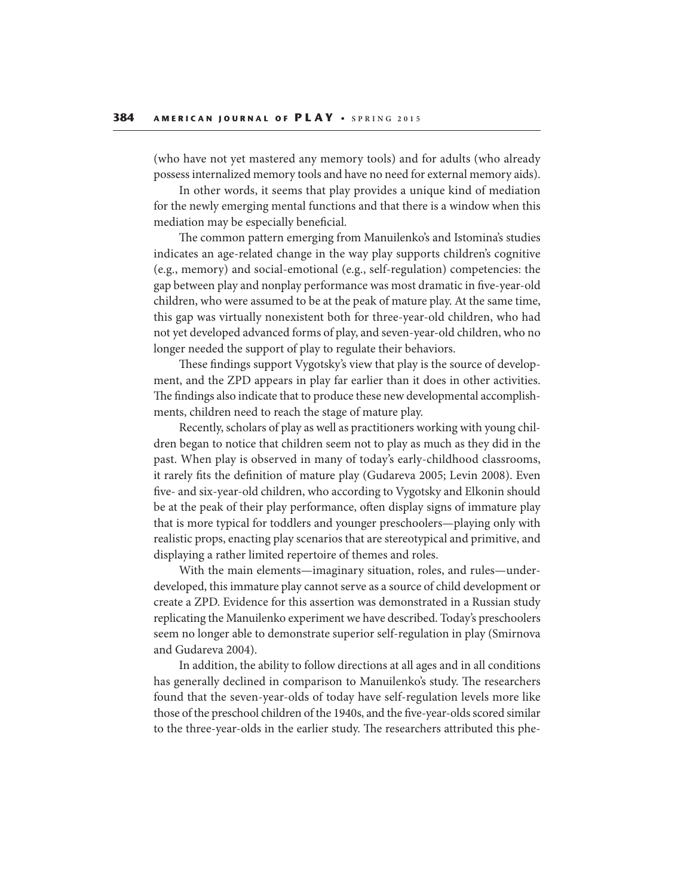(who have not yet mastered any memory tools) and for adults (who already possess internalized memory tools and have no need for external memory aids).

In other words, it seems that play provides a unique kind of mediation for the newly emerging mental functions and that there is a window when this mediation may be especially beneficial.

The common pattern emerging from Manuilenko's and Istomina's studies indicates an age-related change in the way play supports children's cognitive (e.g., memory) and social-emotional (e.g., self-regulation) competencies: the gap between play and nonplay performance was most dramatic in five-year-old children, who were assumed to be at the peak of mature play. At the same time, this gap was virtually nonexistent both for three-year-old children, who had not yet developed advanced forms of play, and seven-year-old children, who no longer needed the support of play to regulate their behaviors.

These findings support Vygotsky's view that play is the source of development, and the ZPD appears in play far earlier than it does in other activities. The findings also indicate that to produce these new developmental accomplishments, children need to reach the stage of mature play.

Recently, scholars of play as well as practitioners working with young children began to notice that children seem not to play as much as they did in the past. When play is observed in many of today's early-childhood classrooms, it rarely fits the definition of mature play (Gudareva 2005; Levin 2008). Even five- and six-year-old children, who according to Vygotsky and Elkonin should be at the peak of their play performance, often display signs of immature play that is more typical for toddlers and younger preschoolers—playing only with realistic props, enacting play scenarios that are stereotypical and primitive, and displaying a rather limited repertoire of themes and roles.

With the main elements—imaginary situation, roles, and rules—underdeveloped, this immature play cannot serve as a source of child development or create a ZPD. Evidence for this assertion was demonstrated in a Russian study replicating the Manuilenko experiment we have described. Today's preschoolers seem no longer able to demonstrate superior self-regulation in play (Smirnova and Gudareva 2004).

In addition, the ability to follow directions at all ages and in all conditions has generally declined in comparison to Manuilenko's study. The researchers found that the seven-year-olds of today have self-regulation levels more like those of the preschool children of the 1940s, and the five-year-olds scored similar to the three-year-olds in the earlier study. The researchers attributed this phe-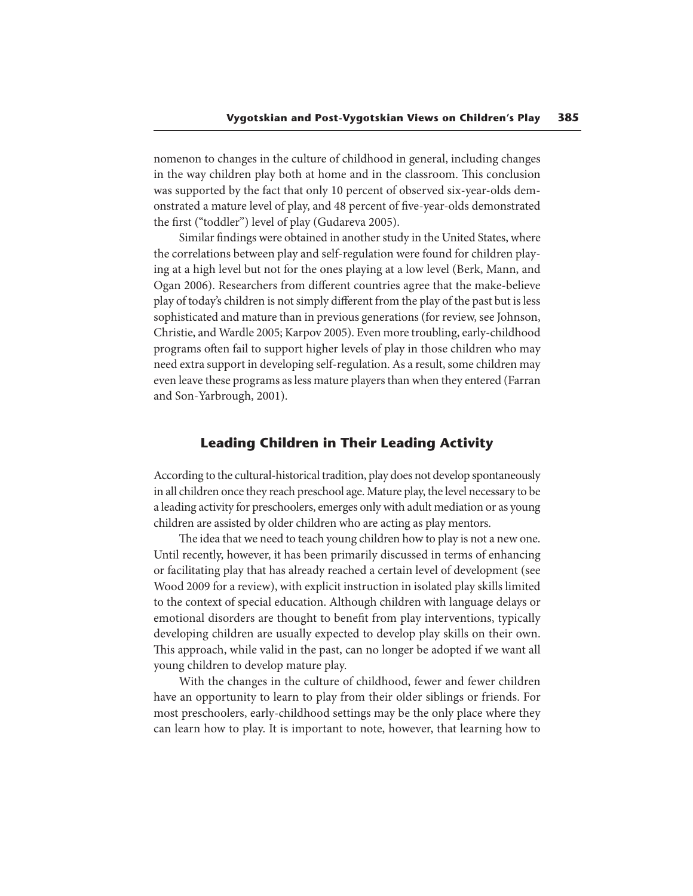nomenon to changes in the culture of childhood in general, including changes in the way children play both at home and in the classroom. This conclusion was supported by the fact that only 10 percent of observed six-year-olds demonstrated a mature level of play, and 48 percent of five-year-olds demonstrated the first ("toddler") level of play (Gudareva 2005).

Similar findings were obtained in another study in the United States, where the correlations between play and self-regulation were found for children playing at a high level but not for the ones playing at a low level (Berk, Mann, and Ogan 2006). Researchers from different countries agree that the make-believe play of today's children is not simply di/erent from the play of the past but is less sophisticated and mature than in previous generations (for review, see Johnson, Christie, and Wardle 2005; Karpov 2005). Even more troubling, early-childhood programs often fail to support higher levels of play in those children who may need extra support in developing self-regulation. As a result, some children may even leave these programs as less mature players than when they entered (Farran and Son-Yarbrough, 2001).

## **Leading Children in Their Leading Activity**

According to the cultural-historical tradition, play does not develop spontaneously in all children once they reach preschool age. Mature play, the level necessary to be a leading activity for preschoolers, emerges only with adult mediation or as young children are assisted by older children who are acting as play mentors.

The idea that we need to teach young children how to play is not a new one. Until recently, however, it has been primarily discussed in terms of enhancing or facilitating play that has already reached a certain level of development (see Wood 2009 for a review), with explicit instruction in isolated play skills limited to the context of special education. Although children with language delays or emotional disorders are thought to benefit from play interventions, typically developing children are usually expected to develop play skills on their own. This approach, while valid in the past, can no longer be adopted if we want all young children to develop mature play.

With the changes in the culture of childhood, fewer and fewer children have an opportunity to learn to play from their older siblings or friends. For most preschoolers, early-childhood settings may be the only place where they can learn how to play. It is important to note, however, that learning how to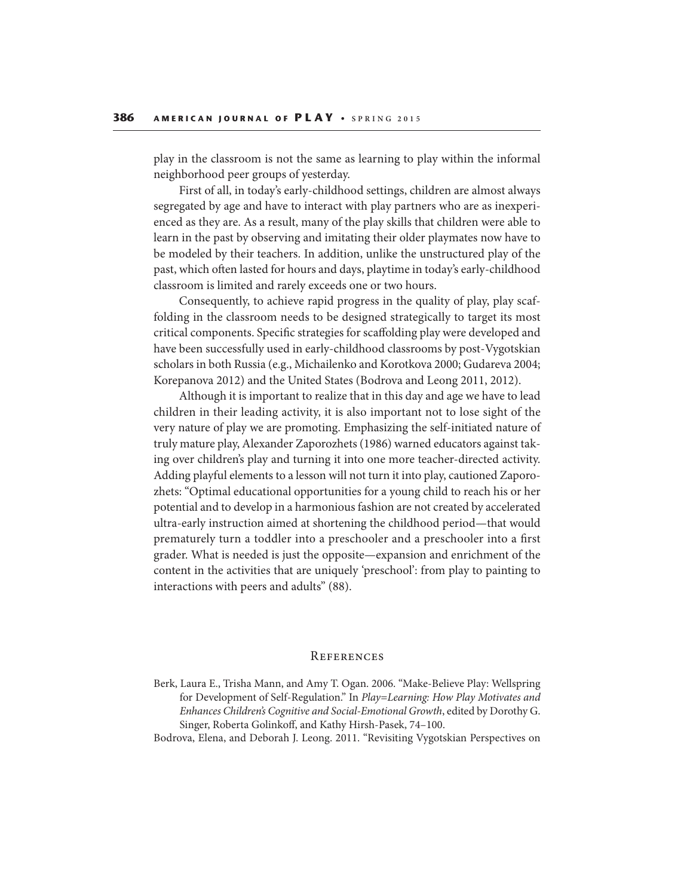play in the classroom is not the same as learning to play within the informal neighborhood peer groups of yesterday.

First of all, in today's early-childhood settings, children are almost always segregated by age and have to interact with play partners who are as inexperienced as they are. As a result, many of the play skills that children were able to learn in the past by observing and imitating their older playmates now have to be modeled by their teachers. In addition, unlike the unstructured play of the past, which often lasted for hours and days, playtime in today's early-childhood classroom is limited and rarely exceeds one or two hours.

Consequently, to achieve rapid progress in the quality of play, play scaffolding in the classroom needs to be designed strategically to target its most critical components. Specific strategies for scaffolding play were developed and have been successfully used in early-childhood classrooms by post-Vygotskian scholars in both Russia (e.g., Michailenko and Korotkova 2000; Gudareva 2004; Korepanova 2012) and the United States (Bodrova and Leong 2011, 2012).

Although it is important to realize that in this day and age we have to lead children in their leading activity, it is also important not to lose sight of the very nature of play we are promoting. Emphasizing the self-initiated nature of truly mature play, Alexander Zaporozhets (1986) warned educators against taking over children's play and turning it into one more teacher-directed activity. Adding playful elements to a lesson will not turn it into play, cautioned Zaporozhets: "Optimal educational opportunities for a young child to reach his or her potential and to develop in a harmonious fashion are not created by accelerated ultra-early instruction aimed at shortening the childhood period—that would prematurely turn a toddler into a preschooler and a preschooler into a first grader. What is needed is just the opposite—expansion and enrichment of the content in the activities that are uniquely 'preschool': from play to painting to interactions with peers and adults" (88).

#### **REFERENCES**

Berk, Laura E., Trisha Mann, and Amy T. Ogan. 2006. "Make-Believe Play: Wellspring for Development of Self-Regulation." In Play=Learning: How Play Motivates and Enhances Children's Cognitive and Social-Emotional Growth, edited by Dorothy G. Singer, Roberta Golinkoff, and Kathy Hirsh-Pasek, 74–100.

Bodrova, Elena, and Deborah J. Leong. 2011. "Revisiting Vygotskian Perspectives on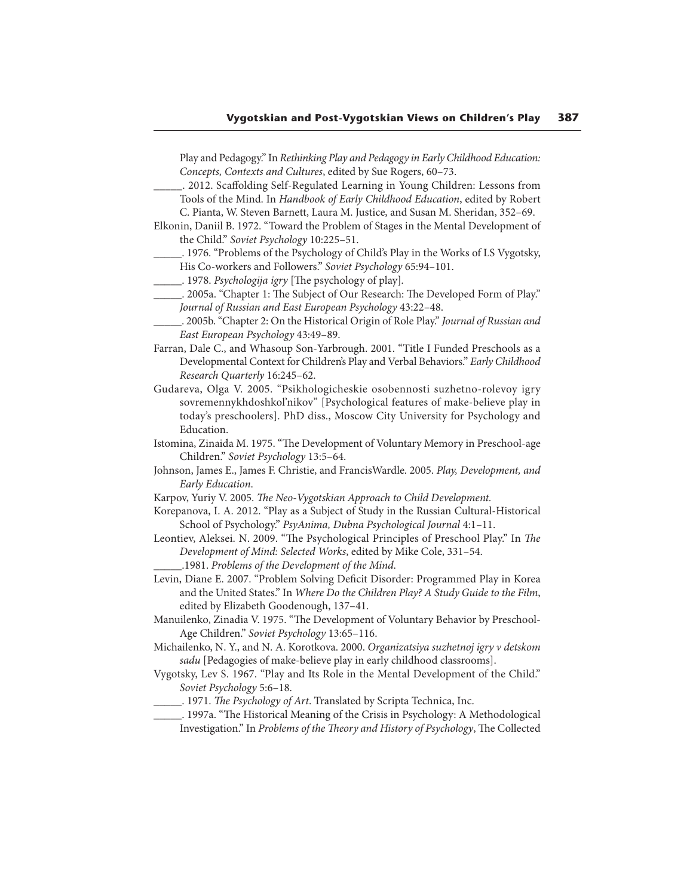Play and Pedagogy." In Rethinking Play and Pedagogy in Early Childhood Education: Concepts, Contexts and Cultures, edited by Sue Rogers, 60–73.

- 2012. Scaffolding Self-Regulated Learning in Young Children: Lessons from Tools of the Mind. In Handbook of Early Childhood Education, edited by Robert C. Pianta, W. Steven Barnett, Laura M. Justice, and Susan M. Sheridan, 352–69.
- Elkonin, Daniil B. 1972. "Toward the Problem of Stages in the Mental Development of the Child." Soviet Psychology 10:225–51.
	- \_\_\_\_\_. 1976. "Problems of the Psychology of Child's Play in the Works of LS Vygotsky, His Co-workers and Followers." Soviet Psychology 65:94–101.
- \_. 1978. Psychologija igry [The psychology of play].
- \_\_\_\_\_. 2005a. "Chapter 1: e Subject of Our Research: e Developed Form of Play." Journal of Russian and East European Psychology 43:22–48.
- . 2005b. "Chapter 2: On the Historical Origin of Role Play." Journal of Russian and East European Psychology 43:49–89.
- Farran, Dale C., and Whasoup Son-Yarbrough. 2001. "Title I Funded Preschools as a Developmental Context for Children's Play and Verbal Behaviors." Early Childhood Research Quarterly 16:245–62.
- Gudareva, Olga V. 2005. "Psikhologicheskie osobennosti suzhetno-rolevoy igry sovremennykhdoshkol'nikov" [Psychological features of make-believe play in today's preschoolers]. PhD diss., Moscow City University for Psychology and Education.
- Istomina, Zinaida M. 1975. "The Development of Voluntary Memory in Preschool-age Children." Soviet Psychology 13:5–64.
- Johnson, James E., James F. Christie, and FrancisWardle. 2005. Play, Development, and Early Education.
- Karpov, Yuriy V. 2005. The Neo-Vygotskian Approach to Child Development.
- Korepanova, I. A. 2012. "Play as a Subject of Study in the Russian Cultural-Historical School of Psychology." PsyAnima, Dubna Psychological Journal 4:1–11.
- Leontiev, Aleksei. N. 2009. "The Psychological Principles of Preschool Play." In The Development of Mind: Selected Works, edited by Mike Cole, 331–54.

\_\_\_\_\_.1981. Problems of the Development of the Mind.

- Levin, Diane E. 2007. "Problem Solving Deficit Disorder: Programmed Play in Korea and the United States." In Where Do the Children Play? A Study Guide to the Film, edited by Elizabeth Goodenough, 137–41.
- Manuilenko, Zinadia V. 1975. "The Development of Voluntary Behavior by Preschool-Age Children." Soviet Psychology 13:65–116.
- Michailenko, N. Y., and N. A. Korotkova. 2000. Organizatsiya suzhetnoj igry v detskom sadu [Pedagogies of make-believe play in early childhood classrooms].
- Vygotsky, Lev S. 1967. "Play and Its Role in the Mental Development of the Child." Soviet Psychology 5:6–18.
	- . 1971. The Psychology of Art. Translated by Scripta Technica, Inc.
	- \_\_\_\_\_. 1997a. "e Historical Meaning of the Crisis in Psychology: A Methodological Investigation." In Problems of the Theory and History of Psychology, The Collected